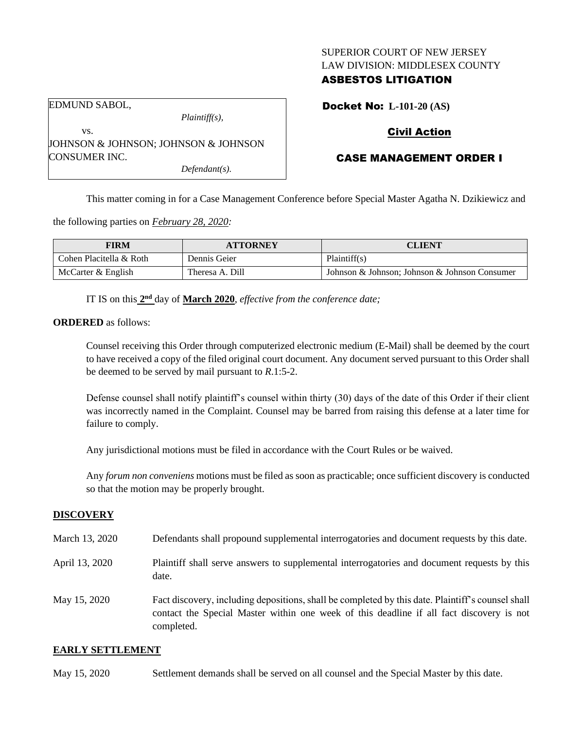## SUPERIOR COURT OF NEW JERSEY LAW DIVISION: MIDDLESEX COUNTY

## ASBESTOS LITIGATION

EDMUND SABOL, *Plaintiff(s),* vs. JOHNSON & JOHNSON; JOHNSON & JOHNSON Docket No: **L-101-20 (AS)**

## Civil Action

# CASE MANAGEMENT ORDER I

This matter coming in for a Case Management Conference before Special Master Agatha N. Dzikiewicz and

the following parties on *February 28, 2020:*

| FIRM                    | <b>ATTORNEY</b> | CLIENT                                        |
|-------------------------|-----------------|-----------------------------------------------|
| Cohen Placitella & Roth | Dennis Geier    | Plaintiff(s)                                  |
| McCarter & English      | Theresa A. Dill | Johnson & Johnson; Johnson & Johnson Consumer |

IT IS on this  $2<sup>nd</sup>$  day of **March 2020**, *effective from the conference date*;

*Defendant(s).*

**ORDERED** as follows:

CONSUMER INC.

Counsel receiving this Order through computerized electronic medium (E-Mail) shall be deemed by the court to have received a copy of the filed original court document. Any document served pursuant to this Order shall be deemed to be served by mail pursuant to *R*.1:5-2.

Defense counsel shall notify plaintiff's counsel within thirty (30) days of the date of this Order if their client was incorrectly named in the Complaint. Counsel may be barred from raising this defense at a later time for failure to comply.

Any jurisdictional motions must be filed in accordance with the Court Rules or be waived.

Any *forum non conveniens* motions must be filed as soon as practicable; once sufficient discovery is conducted so that the motion may be properly brought.

### **DISCOVERY**

- March 13, 2020 Defendants shall propound supplemental interrogatories and document requests by this date.
- April 13, 2020 Plaintiff shall serve answers to supplemental interrogatories and document requests by this date.
- May 15, 2020 Fact discovery, including depositions, shall be completed by this date. Plaintiff's counsel shall contact the Special Master within one week of this deadline if all fact discovery is not completed.

### **EARLY SETTLEMENT**

May 15, 2020 Settlement demands shall be served on all counsel and the Special Master by this date.